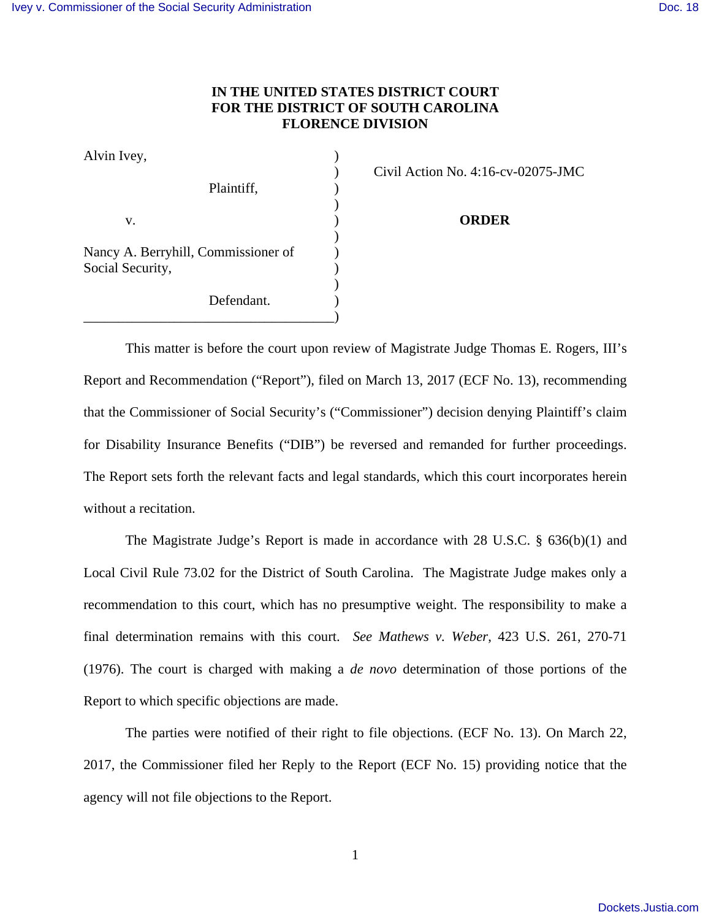## **IN THE UNITED STATES DISTRICT COURT FOR THE DISTRICT OF SOUTH CAROLINA FLORENCE DIVISION**

| Alvin Ivey,                                             |                          |
|---------------------------------------------------------|--------------------------|
| Plaintiff,                                              | Civil Action No. 4:16-cy |
| v.                                                      | <b>ORDER</b>             |
| Nancy A. Berryhill, Commissioner of<br>Social Security, |                          |
| Defendant.                                              |                          |

) Civil Action No. 4:16-cv-02075-JMC

This matter is before the court upon review of Magistrate Judge Thomas E. Rogers, III's Report and Recommendation ("Report"), filed on March 13, 2017 (ECF No. 13), recommending that the Commissioner of Social Security's ("Commissioner") decision denying Plaintiff's claim for Disability Insurance Benefits ("DIB") be reversed and remanded for further proceedings. The Report sets forth the relevant facts and legal standards, which this court incorporates herein without a recitation.

The Magistrate Judge's Report is made in accordance with 28 U.S.C. § 636(b)(1) and Local Civil Rule 73.02 for the District of South Carolina. The Magistrate Judge makes only a recommendation to this court, which has no presumptive weight. The responsibility to make a final determination remains with this court. *See Mathews v. Weber*, 423 U.S. 261, 270-71 (1976). The court is charged with making a *de novo* determination of those portions of the Report to which specific objections are made.

 The parties were notified of their right to file objections. (ECF No. 13). On March 22, 2017, the Commissioner filed her Reply to the Report (ECF No. 15) providing notice that the agency will not file objections to the Report.